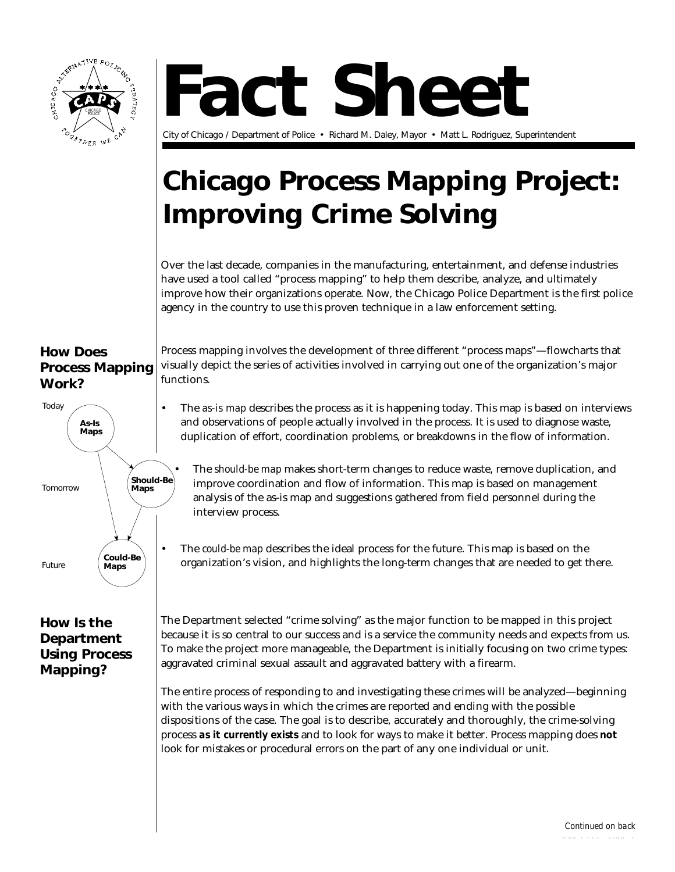



City of Chicago / Department of Police • Richard M. Daley, Mayor • Matt L. Rodriguez, Superintendent

# **Chicago Process Mapping Project: Improving Crime Solving**

Over the last decade, companies in the manufacturing, entertainment, and defense industries have used a tool called "process mapping" to help them describe, analyze, and ultimately improve how their organizations operate. Now, the Chicago Police Department is the first police agency in the country to use this proven technique in a law enforcement setting.

# **How Does Process Mapping Work?**



# **How Is the Department Using Process Mapping?**

Process mapping involves the development of three different "process maps"—flowcharts that visually depict the series of activities involved in carrying out one of the organization's major functions.

• The *as-is map* describes the process as it is happening today. This map is based on interviews and observations of people actually involved in the process. It is used to diagnose waste, duplication of effort, coordination problems, or breakdowns in the flow of information.

• The *should-be map* makes short-term changes to reduce waste, remove duplication, and improve coordination and flow of information. This map is based on management analysis of the as-is map and suggestions gathered from field personnel during the interview process.

• The *could-be map* describes the ideal process for the future. This map is based on the organization's vision, and highlights the long-term changes that are needed to get there.

The Department selected "crime solving" as the major function to be mapped in this project because it is so central to our success and is a service the community needs and expects from us. To make the project more manageable, the Department is initially focusing on two crime types: aggravated criminal sexual assault and aggravated battery with a firearm.

The entire process of responding to and investigating these crimes will be analyzed—beginning with the various ways in which the crimes are reported and ending with the possible dispositions of the case. The goal is to describe, accurately and thoroughly, the crime-solving process *as it currently exists* and to look for ways to make it better. Process mapping does *not* look for mistakes or procedural errors on the part of any one individual or unit.